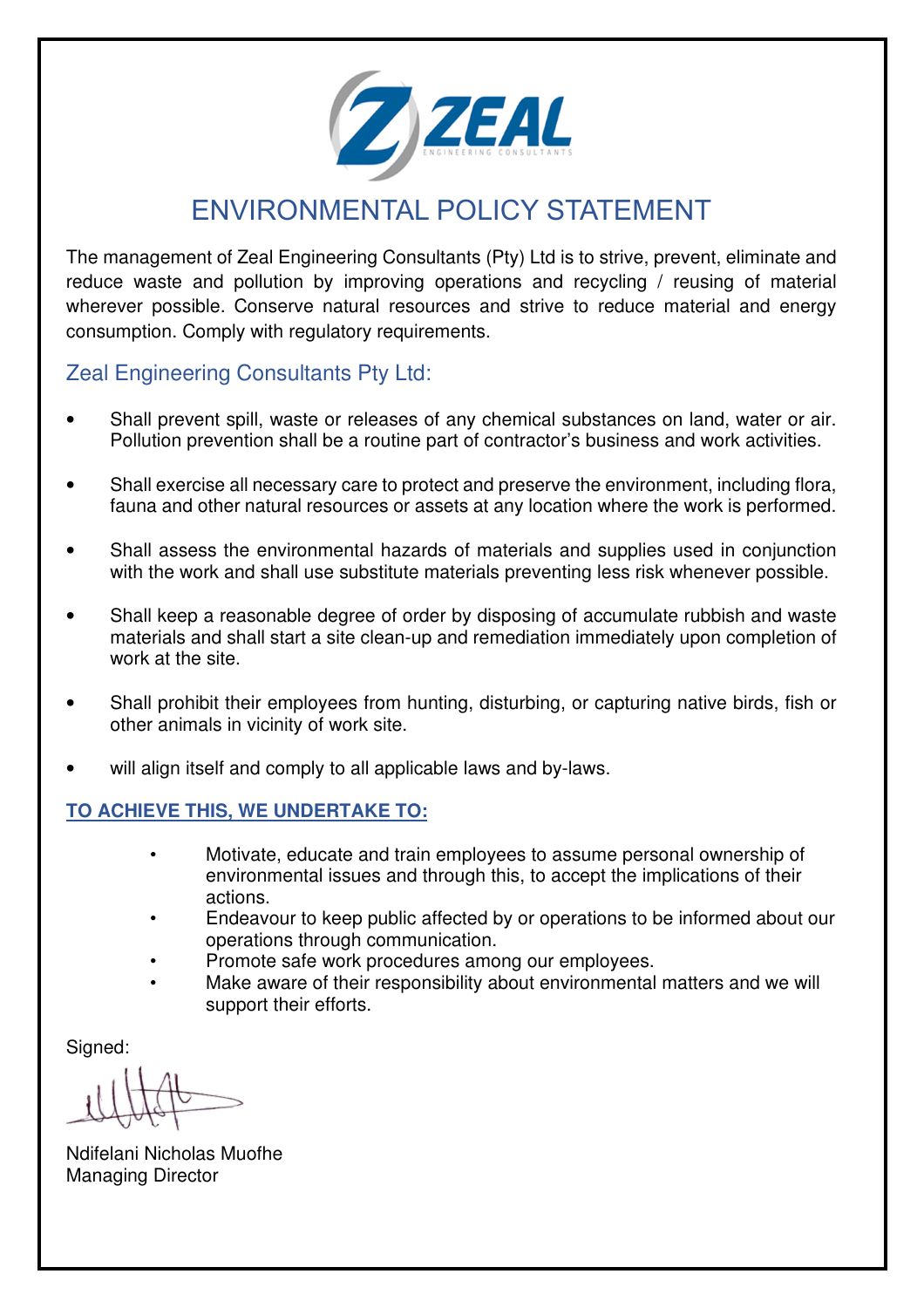

## ENVIRONMENTAL POLICY STATEMENT

The management of Zeal Engineering Consultants (Pty) Ltd is to strive, prevent, eliminate and reduce waste and pollution by improving operations and recycling / reusing of material wherever possible. Conserve natural resources and strive to reduce material and energy consumption. Comply with regulatory requirements.

## Zeal Engineering Consultants Pty Ltd:

- Shall prevent spill, waste or releases of any chemical substances on land, water or air. Pollution prevention shall be a routine part of contractor's business and work activities.
- Shall exercise all necessary care to protect and preserve the environment, including flora, fauna and other natural resources or assets at any location where the work is performed.
- Shall assess the environmental hazards of materials and supplies used in conjunction with the work and shall use substitute materials preventing less risk whenever possible.
- Shall keep a reasonable degree of order by disposing of accumulate rubbish and waste materials and shall start a site clean-up and remediation immediately upon completion of work at the site.
- Shall prohibit their employees from hunting, disturbing, or capturing native birds, fish or other animals in vicinity of work site.
- will align itself and comply to all applicable laws and by-laws.

## **TO ACHIEVE THIS, WE UNDERTAKE TO:**

- Motivate, educate and train employees to assume personal ownership of environmental issues and through this, to accept the implications of their actions.
- Endeavour to keep public affected by or operations to be informed about our operations through communication.
- Promote safe work procedures among our employees.
- Make aware of their responsibility about environmental matters and we will support their efforts.

Signed:

Ndifelani Nicholas Muofhe Managing Director